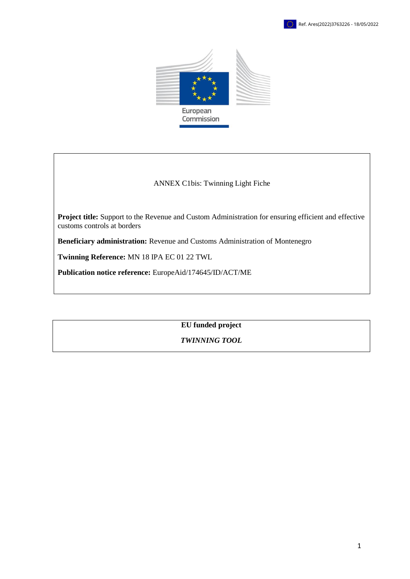



#### ANNEX C1bis: Twinning Light Fiche

**Project title:** Support to the Revenue and Custom Administration for ensuring efficient and effective customs controls at borders

**Beneficiary administration:** Revenue and Customs Administration of Montenegro

**Twinning Reference:** MN 18 IPA EC 01 22 TWL

**Publication notice reference:** EuropeAid[/174645/](https://webgate.ec.europa.eu/europeaid/online-services/index.cfm?do=publi.welcome&nbPubliList=15&orderby=upd&orderbyad=Desc&searchtype=RS&apply=N&aofr=174645&userlanguage=en)ID/ACT/ME

**EU funded project**

*TWINNING TOOL*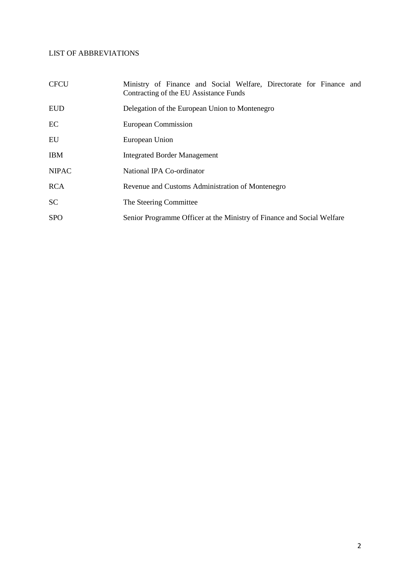# LIST OF ABBREVIATIONS

| <b>CFCU</b>  | Ministry of Finance and Social Welfare, Directorate for Finance and<br>Contracting of the EU Assistance Funds |  |  |  |  |  |
|--------------|---------------------------------------------------------------------------------------------------------------|--|--|--|--|--|
| <b>EUD</b>   | Delegation of the European Union to Montenegro                                                                |  |  |  |  |  |
| EC           | European Commission                                                                                           |  |  |  |  |  |
| EU           | European Union                                                                                                |  |  |  |  |  |
| <b>IBM</b>   | <b>Integrated Border Management</b>                                                                           |  |  |  |  |  |
| <b>NIPAC</b> | National IPA Co-ordinator                                                                                     |  |  |  |  |  |
| <b>RCA</b>   | Revenue and Customs Administration of Montenegro                                                              |  |  |  |  |  |
| <b>SC</b>    | The Steering Committee                                                                                        |  |  |  |  |  |
| <b>SPO</b>   | Senior Programme Officer at the Ministry of Finance and Social Welfare                                        |  |  |  |  |  |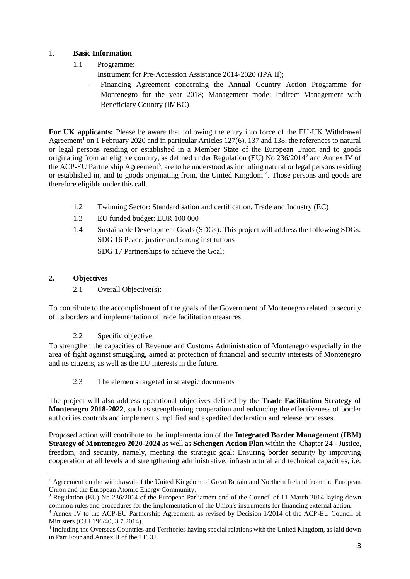## 1. **Basic Information**

- 1.1 Programme:
	- Instrument for Pre-Accession Assistance 2014-2020 (IPA II);
	- Financing Agreement concerning the Annual Country Action Programme for Montenegro for the year 2018; Management mode: Indirect Management with Beneficiary Country (IMBC)

**For UK applicants:** Please be aware that following the entry into force of the EU-UK Withdrawal Agreement<sup>1</sup> on 1 February 2020 and in particular Articles 127(6), 137 and 138, the references to natural or legal persons residing or established in a Member State of the European Union and to goods originating from an eligible country, as defined under Regulation (EU) No 236/2014<sup>2</sup> and Annex IV of the ACP-EU Partnership Agreement<sup>3</sup>, are to be understood as including natural or legal persons residing or established in, and to goods originating from, the United Kingdom<sup>4</sup>. Those persons and goods are therefore eligible under this call.

- 1.2 Twinning Sector: Standardisation and certification, Trade and Industry (EC)
- 1.3 EU funded budget: EUR 100 000
- 1.4 Sustainable Development Goals (SDGs): This project will address the following SDGs: SDG 16 Peace, justice and strong institutions
	- SDG 17 Partnerships to achieve the Goal;

# **2. Objectives**

 $\overline{a}$ 

2.1 Overall Objective(s):

To contribute to the accomplishment of the goals of the Government of Montenegro related to security of its borders and implementation of trade facilitation measures.

2.2 Specific objective:

To strengthen the capacities of Revenue and Customs Administration of Montenegro especially in the area of fight against smuggling, aimed at protection of financial and security interests of Montenegro and its citizens, as well as the EU interests in the future.

2.3 The elements targeted in strategic documents

The project will also address operational objectives defined by the **Trade Facilitation Strategy of Montenegro 2018-2022**, such as strengthening cooperation and enhancing the effectiveness of border authorities controls and implement simplified and expedited declaration and release processes.

Proposed action will contribute to the implementation of the **Integrated Border Management (IBM) Strategy of Montenegro 2020-2024** as well as **Schengen Action Plan** within the Chapter 24 - Justice, freedom, and security, namely, meeting the strategic goal: Ensuring border security by improving cooperation at all levels and strengthening administrative, infrastructural and technical capacities, i.e.

<sup>&</sup>lt;sup>1</sup> Agreement on the withdrawal of the United Kingdom of Great Britain and Northern Ireland from the European Union and the European Atomic Energy Community.

<sup>2</sup> Regulation (EU) No 236/2014 of the European Parliament and of the Council of 11 March 2014 laying down common rules and procedures for the implementation of the Union's instruments for financing external action.

<sup>3</sup> Annex IV to the ACP-EU Partnership Agreement, as revised by Decision 1/2014 of the ACP-EU Council of Ministers (OJ L196/40, 3.7.2014).

<sup>&</sup>lt;sup>4</sup> Including the Overseas Countries and Territories having special relations with the United Kingdom, as laid down in Part Four and Annex II of the TFEU.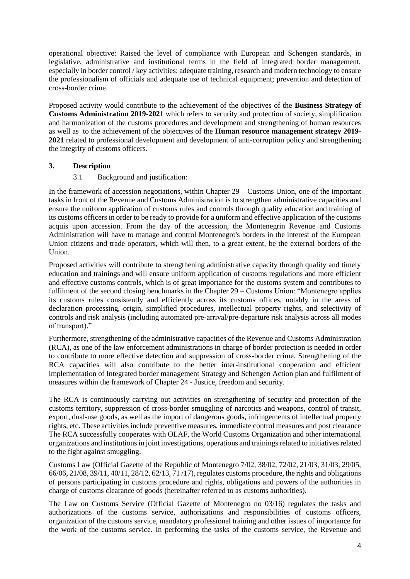operational objective: Raised the level of compliance with European and Schengen standards, in legislative, administrative and institutional terms in the field of integrated border management, especially in border control / key activities: adequate training, research and modern technology to ensure the professionalism of officials and adequate use of technical equipment; prevention and detection of cross-border crime.

Proposed activity would contribute to the achievement of the objectives of the **Business Strategy of Customs Administration 2019-2021** which refers to security and protection of society, simplification and harmonization of the customs procedures and development and strengthening of human resources as well as to the achievement of the objectives of the **Human resource management strategy 2019- 2021** related to professional development and development of anti-corruption policy and strengthening the integrity of customs officers.

## **3. Description**

# 3.1 Background and justification:

In the framework of accession negotiations, within Chapter 29 – Customs Union, one of the important tasks in front of the Revenue and Customs Administration is to strengthen administrative capacities and ensure the uniform application of customs rules and controls through quality education and training of its customs officers in order to be ready to provide for a uniform and effective application of the customs acquis upon accession. From the day of the accession, the Montenegrin Revenue and Customs Administration will have to manage and control Montenegro's borders in the interest of the European Union citizens and trade operators, which will then, to a great extent, be the external borders of the Union.

Proposed activities will contribute to strengthening administrative capacity through quality and timely education and trainings and will ensure uniform application of customs regulations and more efficient and effective customs controls, which is of great importance for the customs system and contributes to fulfilment of the second closing benchmarks in the Chapter 29 – Customs Union: "Montenegro applies" its customs rules consistently and efficiently across its customs offices, notably in the areas of declaration processing, origin, simplified procedures, intellectual property rights, and selectivity of controls and risk analysis (including automated pre-arrival/pre-departure risk analysis across all modes of transport)."

Furthermore, strengthening of the administrative capacities of the Revenue and Customs Administration (RCA), as one of the law enforcement administrations in charge of border protection is needed in order to contribute to more effective detection and suppression of cross-border crime. Strengthening of the RCA capacities will also contribute to the better inter-institutional cooperation and efficient implementation of Integrated border management Strategy and Schengen Action plan and fulfilment of measures within the framework of Chapter 24 - Justice, freedom and security.

The RCA is continuously carrying out activities on strengthening of security and protection of the customs territory, suppression of cross-border smuggling of narcotics and weapons, control of transit, export, dual-use goods, as well as the import of dangerous goods, infringements of intellectual property rights, etc. These activities include preventive measures, immediate control measures and post clearance The RCA successfully cooperates with OLAF, the World Customs Organization and other international organizations and institutions in joint investigations, operations and trainings related to initiatives related to the fight against smuggling.

Customs Law (Official Gazette of the Republic of Montenegro 7/02, 38/02, 72/02, 21/03, 31/03, 29/05, 66/06, 21/08, 39/11, 40/11, 28/12, 62/13, 71 /17), regulates customs procedure, the rights and obligations of persons participating in customs procedure and rights, obligations and powers of the authorities in charge of customs clearance of goods (hereinafter referred to as customs authorities).

The Law on Customs Service (Official Gazette of Montenegro no 03/16) regulates the tasks and authorizations of the customs service, authorizations and responsibilities of customs officers, organization of the customs service, mandatory professional training and other issues of importance for the work of the customs service. In performing the tasks of the customs service, the Revenue and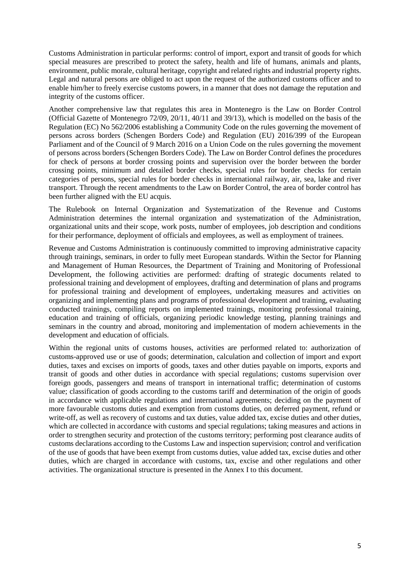Customs Administration in particular performs: control of import, export and transit of goods for which special measures are prescribed to protect the safety, health and life of humans, animals and plants, environment, public morale, cultural heritage, copyright and related rights and industrial property rights. Legal and natural persons are obliged to act upon the request of the authorized customs officer and to enable him/her to freely exercise customs powers, in a manner that does not damage the reputation and integrity of the customs officer.

Another comprehensive law that regulates this area in Montenegro is the Law on Border Control (Official Gazette of Montenegro 72/09, 20/11, 40/11 and 39/13), which is modelled on the basis of the Regulation (EC) No 562/2006 establishing a Community Code on the rules governing the movement of persons across borders (Schengen Borders Code) and Regulation (EU) 2016/399 of the European Parliament and of the Council of 9 March 2016 on a Union Code on the rules governing the movement of persons across borders (Schengen Borders Code). The Law on Border Control defines the procedures for check of persons at border crossing points and supervision over the border between the border crossing points, minimum and detailed border checks, special rules for border checks for certain categories of persons, special rules for border checks in international railway, air, sea, lake and river transport. Through the recent amendments to the Law on Border Control, the area of border control has been further aligned with the EU acquis.

The Rulebook on Internal Organization and Systematization of the Revenue and Customs Administration determines the internal organization and systematization of the Administration, organizational units and their scope, work posts, number of employees, job description and conditions for their performance, deployment of officials and employees, as well as employment of trainees.

Revenue and Customs Administration is continuously committed to improving administrative capacity through trainings, seminars, in order to fully meet European standards. Within the Sector for Planning and Management of Human Resources, the Department of Training and Monitoring of Professional Development, the following activities are performed: drafting of strategic documents related to professional training and development of employees, drafting and determination of plans and programs for professional training and development of employees, undertaking measures and activities on organizing and implementing plans and programs of professional development and training, evaluating conducted trainings, compiling reports on implemented trainings, monitoring professional training, education and training of officials, organizing periodic knowledge testing, planning trainings and seminars in the country and abroad, monitoring and implementation of modern achievements in the development and education of officials.

Within the regional units of customs houses, activities are performed related to: authorization of customs-approved use or use of goods; determination, calculation and collection of import and export duties, taxes and excises on imports of goods, taxes and other duties payable on imports, exports and transit of goods and other duties in accordance with special regulations; customs supervision over foreign goods, passengers and means of transport in international traffic; determination of customs value; classification of goods according to the customs tariff and determination of the origin of goods in accordance with applicable regulations and international agreements; deciding on the payment of more favourable customs duties and exemption from customs duties, on deferred payment, refund or write-off, as well as recovery of customs and tax duties, value added tax, excise duties and other duties, which are collected in accordance with customs and special regulations; taking measures and actions in order to strengthen security and protection of the customs territory; performing post clearance audits of customs declarations according to the Customs Law and inspection supervision; control and verification of the use of goods that have been exempt from customs duties, value added tax, excise duties and other duties, which are charged in accordance with customs, tax, excise and other regulations and other activities. The organizational structure is presented in the Annex I to this document.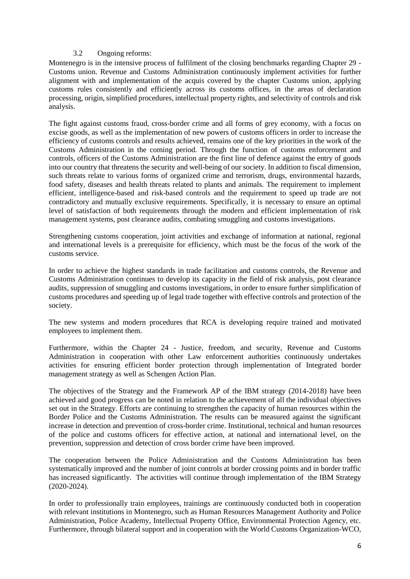#### 3.2 Ongoing reforms:

Montenegro is in the intensive process of fulfilment of the closing benchmarks regarding Chapter 29 - Customs union. Revenue and Customs Administration continuously implement activities for further alignment with and implementation of the acquis covered by the chapter Customs union, applying customs rules consistently and efficiently across its customs offices, in the areas of declaration processing, origin, simplified procedures, intellectual property rights, and selectivity of controls and risk analysis.

The fight against customs fraud, cross-border crime and all forms of grey economy, with a focus on excise goods, as well as the implementation of new powers of customs officers in order to increase the efficiency of customs controls and results achieved, remains one of the key priorities in the work of the Customs Administration in the coming period. Through the function of customs enforcement and controls, officers of the Customs Administration are the first line of defence against the entry of goods into our country that threatens the security and well-being of our society. In addition to fiscal dimension, such threats relate to various forms of organized crime and terrorism, drugs, environmental hazards, food safety, diseases and health threats related to plants and animals. The requirement to implement efficient, intelligence-based and risk-based controls and the requirement to speed up trade are not contradictory and mutually exclusive requirements. Specifically, it is necessary to ensure an optimal level of satisfaction of both requirements through the modern and efficient implementation of risk management systems, post clearance audits, combating smuggling and customs investigations.

Strengthening customs cooperation, joint activities and exchange of information at national, regional and international levels is a prerequisite for efficiency, which must be the focus of the work of the customs service.

In order to achieve the highest standards in trade facilitation and customs controls, the Revenue and Customs Administration continues to develop its capacity in the field of risk analysis, post clearance audits, suppression of smuggling and customs investigations, in order to ensure further simplification of customs procedures and speeding up of legal trade together with effective controls and protection of the society.

The new systems and modern procedures that RCA is developing require trained and motivated employees to implement them.

Furthermore, within the Chapter 24 - Justice, freedom, and security, Revenue and Customs Administration in cooperation with other Law enforcement authorities continuously undertakes activities for ensuring efficient border protection through implementation of Integrated border management strategy as well as Schengen Action Plan.

The objectives of the Strategy and the Framework AP of the IBM strategy (2014-2018) have been achieved and good progress can be noted in relation to the achievement of all the individual objectives set out in the Strategy. Efforts are continuing to strengthen the capacity of human resources within the Border Police and the Customs Administration. The results can be measured against the significant increase in detection and prevention of cross-border crime. Institutional, technical and human resources of the police and customs officers for effective action, at national and international level, on the prevention, suppression and detection of cross border crime have been improved.

The cooperation between the Police Administration and the Customs Administration has been systematically improved and the number of joint controls at border crossing points and in border traffic has increased significantly. The activities will continue through implementation of the IBM Strategy (2020-2024).

In order to professionally train employees, trainings are continuously conducted both in cooperation with relevant institutions in Montenegro, such as Human Resources Management Authority and Police Administration, Police Academy, Intellectual Property Office, Environmental Protection Agency, etc. Furthermore, through bilateral support and in cooperation with the World Customs Organization-WCO,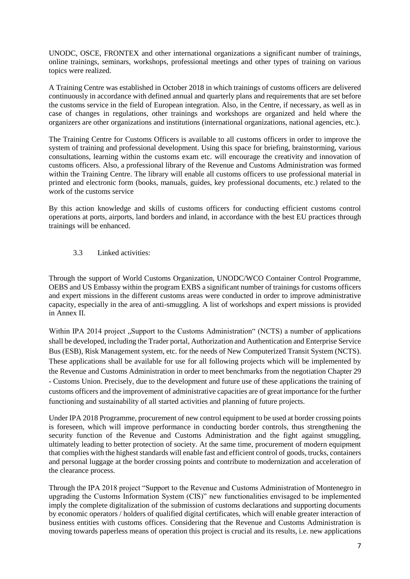UNODC, OSCE, FRONTEX and other international organizations a significant number of trainings, online trainings, seminars, workshops, professional meetings and other types of training on various topics were realized.

A Training Centre was established in October 2018 in which trainings of customs officers are delivered continuously in accordance with defined annual and quarterly plans and requirements that are set before the customs service in the field of European integration. Also, in the Centre, if necessary, as well as in case of changes in regulations, other trainings and workshops are organized and held where the organizers are other organizations and institutions (international organizations, national agencies, etc.).

The Training Centre for Customs Officers is available to all customs officers in order to improve the system of training and professional development. Using this space for briefing, brainstorming, various consultations, learning within the customs exam etc. will encourage the creativity and innovation of customs officers. Also, a professional library of the Revenue and Customs Administration was formed within the Training Centre. The library will enable all customs officers to use professional material in printed and electronic form (books, manuals, guides, key professional documents, etc.) related to the work of the customs service

By this action knowledge and skills of customs officers for conducting efficient customs control operations at ports, airports, land borders and inland, in accordance with the best EU practices through trainings will be enhanced.

3.3 Linked activities:

Through the support of World Customs Organization, UNODC/WCO Container Control Programme, OEBS and US Embassy within the program EXBS a significant number of trainings for customs officers and expert missions in the different customs areas were conducted in order to improve administrative capacity, especially in the area of anti-smuggling. A list of workshops and expert missions is provided in Annex II.

Within IPA 2014 project "Support to the Customs Administration" (NCTS) a number of applications shall be developed, including the Trader portal, Authorization and Authentication and Enterprise Service Bus (ESB), Risk Management system, etc. for the needs of New Computerized Transit System (NCTS). These applications shall be available for use for all following projects which will be implemented by the Revenue and Customs Administration in order to meet benchmarks from the negotiation Chapter 29 - Customs Union. Precisely, due to the development and future use of these applications the training of customs officers and the improvement of administrative capacities are of great importance for the further functioning and sustainability of all started activities and planning of future projects.

Under IPA 2018 Programme, procurement of new control equipment to be used at border crossing points is foreseen, which will improve performance in conducting border controls, thus strengthening the security function of the Revenue and Customs Administration and the fight against smuggling, ultimately leading to better protection of society. At the same time, procurement of modern equipment that complies with the highest standards will enable fast and efficient control of goods, trucks, containers and personal luggage at the border crossing points and contribute to modernization and acceleration of the clearance process.

Through the IPA 2018 project "Support to the Revenue and Customs Administration of Montenegro in upgrading the Customs Information System (CIS)" new functionalities envisaged to be implemented imply the complete digitalization of the submission of customs declarations and supporting documents by economic operators / holders of qualified digital certificates, which will enable greater interaction of business entities with customs offices. Considering that the Revenue and Customs Administration is moving towards paperless means of operation this project is crucial and its results, i.e. new applications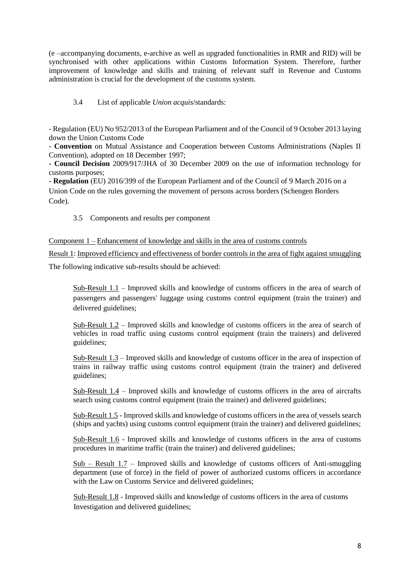(e –accompanying documents, e-archive as well as upgraded functionalities in RMR and RID) will be synchronised with other applications within Customs Information System. Therefore, further improvement of knowledge and skills and training of relevant staff in Revenue and Customs administration is crucial for the development of the customs system.

# 3.4 List of applicable *Union acquis*/standards:

- Regulation (EU) No 952/2013 of the European Parliament and of the Council of 9 October 2013 laying down the Union Customs Code

- **Convention** on Mutual Assistance and Cooperation between Customs Administrations (Naples II Convention), adopted on 18 December 1997;

**- Council Decision** 2009/917/JHA of 30 December 2009 on the use of information technology for customs purposes;

**- Regulation** (EU) 2016/399 of the European Parliament and of the Council of 9 March 2016 on a Union Code on the rules governing the movement of persons across borders (Schengen Borders Code).

## 3.5 Components and results per component

Component 1 – Enhancement of knowledge and skills in the area of customs controls

Result 1: Improved efficiency and effectiveness of border controls in the area of fight against smuggling The following indicative sub-results should be achieved:

Sub-Result 1.1 – Improved skills and knowledge of customs officers in the area of search of passengers and passengers' luggage using customs control equipment (train the trainer) and delivered guidelines;

Sub-Result 1.2 – Improved skills and knowledge of customs officers in the area of search of vehicles in road traffic using customs control equipment (train the trainers) and delivered guidelines;

Sub-Result 1.3 – Improved skills and knowledge of customs officer in the area of inspection of trains in railway traffic using customs control equipment (train the trainer) and delivered guidelines;

Sub-Result 1.4 – Improved skills and knowledge of customs officers in the area of aircrafts search using customs control equipment (train the trainer) and delivered guidelines;

Sub-Result 1.5 **-** Improved skills and knowledge of customs officers in the area of vessels search (ships and yachts) using customs control equipment (train the trainer) and delivered guidelines;

Sub-Result 1.6 - Improved skills and knowledge of customs officers in the area of customs procedures in maritime traffic (train the trainer) and delivered guidelines;

Sub – Result 1.7 – Improved skills and knowledge of customs officers of Anti-smuggling department (use of force) in the field of power of authorized customs officers in accordance with the Law on Customs Service and delivered guidelines;

 Sub-Result 1.8 - Improved skills and knowledge of customs officers in the area of customs Investigation and delivered guidelines;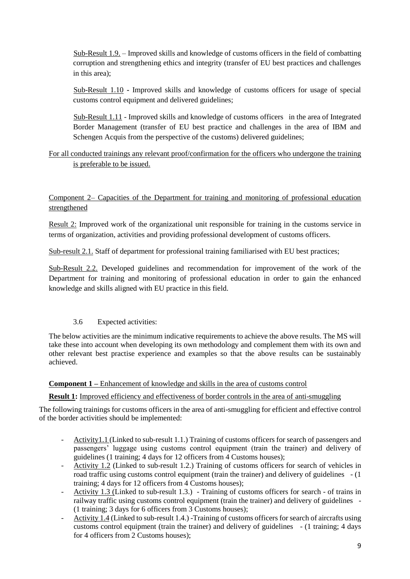Sub-Result 1.9. – Improved skills and knowledge of customs officers in the field of combatting corruption and strengthening ethics and integrity (transfer of EU best practices and challenges in this area);

 Sub-Result 1.10 **-** Improved skills and knowledge of customs officers for usage of special customs control equipment and delivered guidelines;

 Sub-Result 1.11 - Improved skills and knowledge of customs officers in the area of Integrated Border Management (transfer of EU best practice and challenges in the area of IBM and Schengen Acquis from the perspective of the customs) delivered guidelines;

For all conducted trainings any relevant proof/confirmation for the officers who undergone the training is preferable to be issued.

Component 2– Capacities of the Department for training and monitoring of professional education strengthened

Result 2: Improved work of the organizational unit responsible for training in the customs service in terms of organization, activities and providing professional development of customs officers.

Sub-result 2.1. Staff of department for professional training familiarised with EU best practices;

Sub-Result 2.2. Developed guidelines and recommendation for improvement of the work of the Department for training and monitoring of professional education in order to gain the enhanced knowledge and skills aligned with EU practice in this field.

## 3.6 Expected activities:

The below activities are the minimum indicative requirements to achieve the above results. The MS will take these into account when developing its own methodology and complement them with its own and other relevant best practise experience and examples so that the above results can be sustainably achieved.

**Component 1 –** Enhancement of knowledge and skills in the area of customs control

## **Result 1:** Improved efficiency and effectiveness of border controls in the area of anti-smuggling

The following trainings for customs officers in the area of anti-smuggling for efficient and effective control of the border activities should be implemented:

- Activity1.1 (Linked to sub-result 1.1.) Training of customs officers for search of passengers and passengers' luggage using customs control equipment (train the trainer) and delivery of guidelines (1 training; 4 days for 12 officers from 4 Customs houses);
- Activity 1.2 (Linked to sub-result 1.2.) Training of customs officers for search of vehicles in road traffic using customs control equipment (train the trainer) and delivery of guidelines - (1 training; 4 days for 12 officers from 4 Customs houses);
- Activity 1.3 (Linked to sub-result 1.3.) Training of customs officers for search of trains in railway traffic using customs control equipment (train the trainer) and delivery of guidelines - (1 training; 3 days for 6 officers from 3 Customs houses);
- Activity 1.4 (Linked to sub-result 1.4.) -Training of customs officers for search of aircrafts using customs control equipment (train the trainer) and delivery of guidelines - (1 training; 4 days for 4 officers from 2 Customs houses);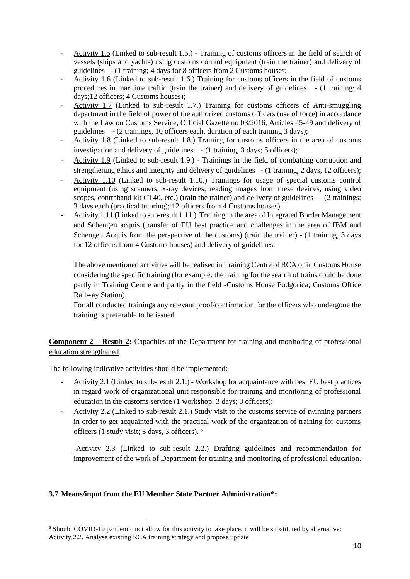- Activity 1.5 (Linked to sub-result 1.5.) **-** Training of customs officers in the field of search of vessels (ships and yachts) using customs control equipment (train the trainer) and delivery of guidelines - (1 training; 4 days for 8 officers from 2 Customs houses;
- Activity 1.6 (Linked to sub-result 1.6.) Training for customs officers in the field of customs procedures in maritime traffic (train the trainer) and delivery of guidelines - (1 training; 4 days;12 officers; 4 Customs houses);
- Activity 1.7 (Linked to sub-result 1.7.) Training for customs officers of Anti-smuggling department in the field of power of the authorized customs officers (use of force) in accordance with the Law on Customs Service, Official Gazette no 03/2016, Articles 45-49 and delivery of guidelines - (2 trainings, 10 officers each, duration of each training 3 days);
- Activity 1.8 (Linked to sub-result 1.8.) Training for customs officers in the area of customs investigation and delivery of guidelines - (1 training, 3 days; 5 officers);
- Activity 1.9 (Linked to sub-result 1.9.) Trainings in the field of combatting corruption and strengthening ethics and integrity and delivery of guidelines - (1 training, 2 days, 12 officers);
- Activity 1.10 (Linked to sub-result 1.10.) Trainings for usage of special customs control equipment (using scanners, x-ray devices, reading images from these devices, using video scopes, contraband kit CT40, etc.) (train the trainer) and delivery of guidelines - (2 trainings; 3 days each (practical tutoring); 12 officers from 4 Customs houses)
- Activity 1.11 (Linked to sub-result 1.11.) Training in the area of Integrated Border Management and Schengen acquis (transfer of EU best practice and challenges in the area of IBM and Schengen Acquis from the perspective of the customs) (train the trainer) - (1 training, 3 days for 12 officers from 4 Customs houses) and delivery of guidelines.

The above mentioned activities will be realised in Training Centre of RCA or in Customs House considering the specific training (for example: the training for the search of trains could be done partly in Training Centre and partly in the field -Customs House Podgorica; Customs Office Railway Station)

For all conducted trainings any relevant proof/confirmation for the officers who undergone the training is preferable to be issued.

# **Component 2 – Result 2:** Capacities of the Department for training and monitoring of professional education strengthened

The following indicative activities should be implemented:

- Activity 2.1 (Linked to sub-result 2.1.) Workshop for acquaintance with best EU best practices in regard work of organizational unit responsible for training and monitoring of professional education in the customs service (1 workshop; 3 days; 3 officers);
- Activity 2.2 (Linked to sub-result 2.1.) Study visit to the customs service of twinning partners in order to get acquainted with the practical work of the organization of training for customs officers (1 study visit; 3 days, 3 officers). <sup>5</sup>

-Activity 2.3 (Linked to sub-result 2.2.) Drafting guidelines and recommendation for improvement of the work of Department for training and monitoring of professional education.

## **3.7 Means/input from the EU Member State Partner Administration\*:**

 $\overline{a}$ 

<sup>5</sup> Should COVID-19 pandemic not allow for this activity to take place, it will be substituted by alternative: Activity 2.2. Analyse existing RCA training strategy and propose update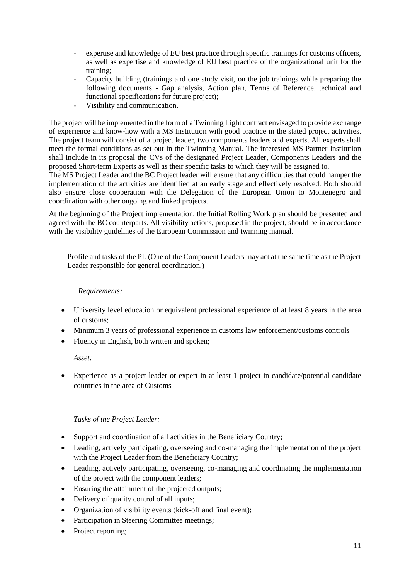- expertise and knowledge of EU best practice through specific trainings for customs officers, as well as expertise and knowledge of EU best practice of the organizational unit for the training;
- Capacity building (trainings and one study visit, on the job trainings while preparing the following documents - Gap analysis, Action plan, Terms of Reference, technical and functional specifications for future project);
- Visibility and communication.

The project will be implemented in the form of a Twinning Light contract envisaged to provide exchange of experience and know-how with a MS Institution with good practice in the stated project activities. The project team will consist of a project leader, two components leaders and experts. All experts shall meet the formal conditions as set out in the Twinning Manual. The interested MS Partner Institution shall include in its proposal the CVs of the designated Project Leader, Components Leaders and the proposed Short-term Experts as well as their specific tasks to which they will be assigned to.

The MS Project Leader and the BC Project leader will ensure that any difficulties that could hamper the implementation of the activities are identified at an early stage and effectively resolved. Both should also ensure close cooperation with the Delegation of the European Union to Montenegro and coordination with other ongoing and linked projects.

At the beginning of the Project implementation, the Initial Rolling Work plan should be presented and agreed with the BC counterparts. All visibility actions, proposed in the project, should be in accordance with the visibility guidelines of the European Commission and twinning manual*.*

Profile and tasks of the PL (One of the Component Leaders may act at the same time as the Project Leader responsible for general coordination.)

### *Requirements:*

- University level education or equivalent professional experience of at least 8 years in the area of customs;
- Minimum 3 years of professional experience in customs law enforcement/customs controls
- Fluency in English, both written and spoken;

*Asset:*

 Experience as a project leader or expert in at least 1 project in candidate/potential candidate countries in the area of Customs

## *Tasks of the Project Leader:*

- Support and coordination of all activities in the Beneficiary Country;
- Leading, actively participating, overseeing and co-managing the implementation of the project with the Project Leader from the Beneficiary Country;
- Leading, actively participating, overseeing, co-managing and coordinating the implementation of the project with the component leaders;
- Ensuring the attainment of the projected outputs;
- Delivery of quality control of all inputs;
- Organization of visibility events (kick-off and final event);
- Participation in Steering Committee meetings;
- Project reporting;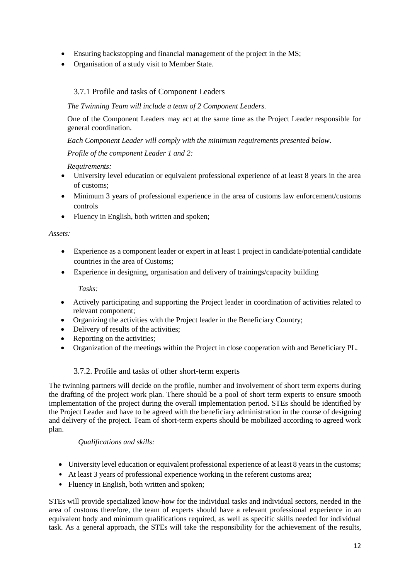- Ensuring backstopping and financial management of the project in the MS;
- Organisation of a study visit to Member State.

# 3.7.1 Profile and tasks of Component Leaders

#### *The Twinning Team will include a team of 2 Component Leaders.*

One of the Component Leaders may act at the same time as the Project Leader responsible for general coordination.

*Each Component Leader will comply with the minimum requirements presented below*.

#### *Profile of the component Leader 1 and 2:*

#### *Requirements:*

- University level education or equivalent professional experience of at least 8 years in the area of customs;
- Minimum 3 years of professional experience in the area of customs law enforcement/customs controls
- Fluency in English, both written and spoken;

#### *Assets:*

- Experience as a component leader or expert in at least 1 project in candidate/potential candidate countries in the area of Customs;
- Experience in designing, organisation and delivery of trainings/capacity building

*Tasks:*

- Actively participating and supporting the Project leader in coordination of activities related to relevant component;
- Organizing the activities with the Project leader in the Beneficiary Country;
- Delivery of results of the activities;
- Reporting on the activities;
- Organization of the meetings within the Project in close cooperation with and Beneficiary PL.

## 3.7.2. Profile and tasks of other short-term experts

The twinning partners will decide on the profile, number and involvement of short term experts during the drafting of the project work plan. There should be a pool of short term experts to ensure smooth implementation of the project during the overall implementation period. STEs should be identified by the Project Leader and have to be agreed with the beneficiary administration in the course of designing and delivery of the project. Team of short-term experts should be mobilized according to agreed work plan.

## *Qualifications and skills:*

- University level education or equivalent professional experience of at least 8 years in the customs;
- At least 3 years of professional experience working in the referent customs area;
- Fluency in English, both written and spoken;

STEs will provide specialized know-how for the individual tasks and individual sectors, needed in the area of customs therefore, the team of experts should have a relevant professional experience in an equivalent body and minimum qualifications required, as well as specific skills needed for individual task. As a general approach, the STEs will take the responsibility for the achievement of the results,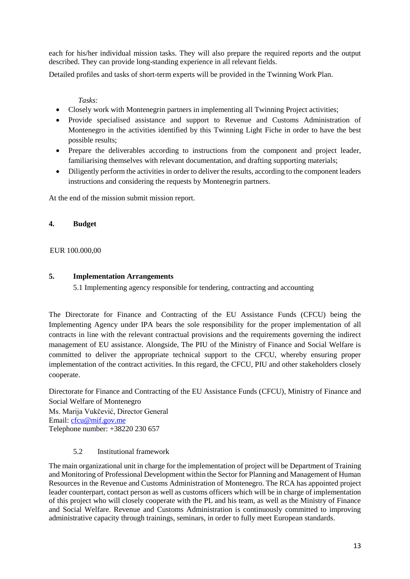each for his/her individual mission tasks. They will also prepare the required reports and the output described. They can provide long-standing experience in all relevant fields.

Detailed profiles and tasks of short-term experts will be provided in the Twinning Work Plan.

*Tasks:*

- Closely work with Montenegrin partners in implementing all Twinning Project activities;
- Provide specialised assistance and support to Revenue and Customs Administration of Montenegro in the activities identified by this Twinning Light Fiche in order to have the best possible results;
- Prepare the deliverables according to instructions from the component and project leader, familiarising themselves with relevant documentation, and drafting supporting materials;
- Diligently perform the activities in order to deliver the results, according to the component leaders instructions and considering the requests by Montenegrin partners.

At the end of the mission submit mission report.

### **4. Budget**

#### EUR 100.000,00

#### **5. Implementation Arrangements**

5.1 Implementing agency responsible for tendering, contracting and accounting

The Directorate for Finance and Contracting of the EU Assistance Funds (CFCU) being the Implementing Agency under IPA bears the sole responsibility for the proper implementation of all contracts in line with the relevant contractual provisions and the requirements governing the indirect management of EU assistance. Alongside, The PIU of the Ministry of Finance and Social Welfare is committed to deliver the appropriate technical support to the CFCU, whereby ensuring proper implementation of the contract activities. In this regard, the CFCU, PIU and other stakeholders closely cooperate.

Directorate for Finance and Contracting of the EU Assistance Funds (CFCU), Ministry of Finance and Social Welfare of Montenegro Ms. Marija Vukčević, Director General Email: [cfcu@mif.gov.me](mailto:cfcu@mif.gov.me) Telephone number: +38220 230 657

#### 5.2 Institutional framework

The main organizational unit in charge for the implementation of project will be Department of Training and Monitoring of Professional Development within the Sector for Planning and Management of Human Resources in the Revenue and Customs Administration of Montenegro. The RCA has appointed project leader counterpart, contact person as well as customs officers which will be in charge of implementation of this project who will closely cooperate with the PL and his team, as well as the Ministry of Finance and Social Welfare. Revenue and Customs Administration is continuously committed to improving administrative capacity through trainings, seminars, in order to fully meet European standards.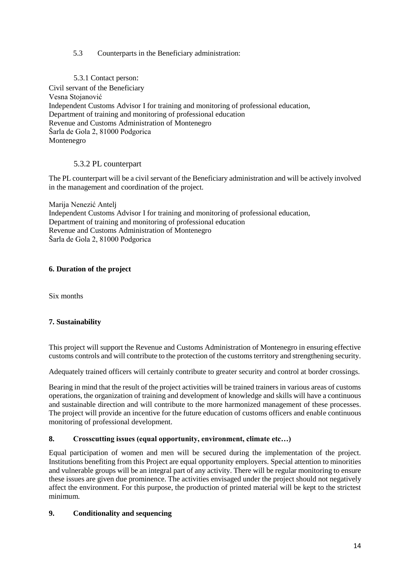## 5.3 Counterparts in the Beneficiary administration:

5.3.1 Contact person:

Civil servant of the Beneficiary Vesna Stojanović Independent Customs Advisor I for training and monitoring of professional education, Department of training and monitoring of professional education Revenue and Customs Administration of Montenegro Šarla de Gola 2, 81000 Podgorica Montenegro

## 5.3.2 PL counterpart

The PL counterpart will be a civil servant of the Beneficiary administration and will be actively involved in the management and coordination of the project*.* 

Marija Nenezić Antelj Independent Customs Advisor I for training and monitoring of professional education, Department of training and monitoring of professional education Revenue and Customs Administration of Montenegro Šarla de Gola 2, 81000 Podgorica

#### **6. Duration of the project**

Six months

#### **7. Sustainability**

This project will support the Revenue and Customs Administration of Montenegro in ensuring effective customs controls and will contribute to the protection of the customs territory and strengthening security.

Adequately trained officers will certainly contribute to greater security and control at border crossings.

Bearing in mind that the result of the project activities will be trained trainers in various areas of customs operations, the organization of training and development of knowledge and skills will have a continuous and sustainable direction and will contribute to the more harmonized management of these processes. The project will provide an incentive for the future education of customs officers and enable continuous monitoring of professional development.

#### **8. Crosscutting issues (equal opportunity, environment, climate etc…)**

Equal participation of women and men will be secured during the implementation of the project. Institutions benefiting from this Project are equal opportunity employers. Special attention to minorities and vulnerable groups will be an integral part of any activity. There will be regular monitoring to ensure these issues are given due prominence. The activities envisaged under the project should not negatively affect the environment. For this purpose, the production of printed material will be kept to the strictest minimum*.*

#### **9. Conditionality and sequencing**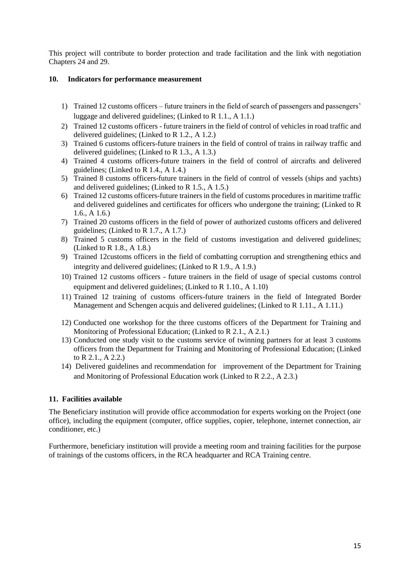This project will contribute to border protection and trade facilitation and the link with negotiation Chapters 24 and 29.

#### **10. Indicators for performance measurement**

- 1) Trained 12 customs officers future trainers in the field of search of passengers and passengers' luggage and delivered guidelines; (Linked to R 1.1., A 1.1.)
- 2) Trained 12 customs officers future trainers in the field of control of vehicles in road traffic and delivered guidelines; (Linked to R 1.2., A 1.2.)
- 3) Trained 6 customs officers-future trainers in the field of control of trains in railway traffic and delivered guidelines; (Linked to R 1.3., A 1.3.)
- 4) Trained 4 customs officers-future trainers in the field of control of aircrafts and delivered guidelines; (Linked to R 1.4., A 1.4.)
- 5) Trained 8 customs officers-future trainers in the field of control of vessels (ships and yachts) and delivered guidelines; (Linked to R 1.5., A 1.5.)
- 6) Trained 12 customs officers-future trainers in the field of customs procedures in maritime traffic and delivered guidelines and certificates for officers who undergone the training; (Linked to R 1.6., A 1.6.)
- 7) Trained 20 customs officers in the field of power of authorized customs officers and delivered guidelines; (Linked to R 1.7., A 1.7.)
- 8) Trained 5 customs officers in the field of customs investigation and delivered guidelines; (Linked to R 1.8., A 1.8.)
- 9) Trained 12customs officers in the field of combatting corruption and strengthening ethics and integrity and delivered guidelines; (Linked to R 1.9., A 1.9.)
- 10) Trained 12 customs officers future trainers in the field of usage of special customs control equipment and delivered guidelines; (Linked to R 1.10., A 1.10)
- 11) Trained 12 training of customs officers-future trainers in the field of Integrated Border Management and Schengen acquis and delivered guidelines; (Linked to R 1.11., A 1.11.)
- 12) Conducted one workshop for the three customs officers of the Department for Training and Monitoring of Professional Education; (Linked to R 2.1., A 2.1.)
- 13) Conducted one study visit to the customs service of twinning partners for at least 3 customs officers from the Department for Training and Monitoring of Professional Education; (Linked to R 2.1., A 2.2.)
- 14) Delivered guidelines and recommendation for improvement of the Department for Training and Monitoring of Professional Education work (Linked to R 2.2., A 2.3.)

## **11. Facilities available**

The Beneficiary institution will provide office accommodation for experts working on the Project (one office), including the equipment (computer, office supplies, copier, telephone, internet connection, air conditioner, etc.)

Furthermore, beneficiary institution will provide a meeting room and training facilities for the purpose of trainings of the customs officers, in the RCA headquarter and RCA Training centre.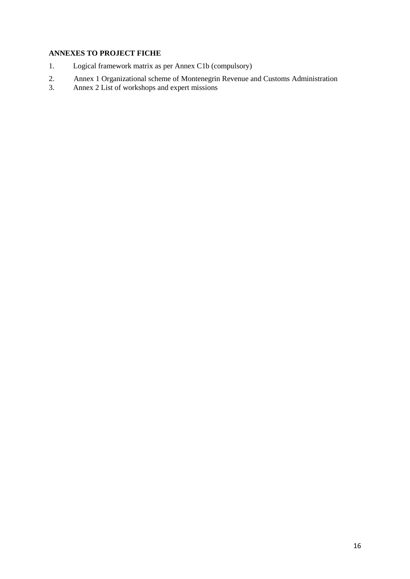# **ANNEXES TO PROJECT FICHE**

- 1. Logical framework matrix as per Annex C1b (compulsory)
- 2. Annex 1 Organizational scheme of Montenegrin Revenue and Customs Administration
- 3. Annex 2 List of workshops and expert missions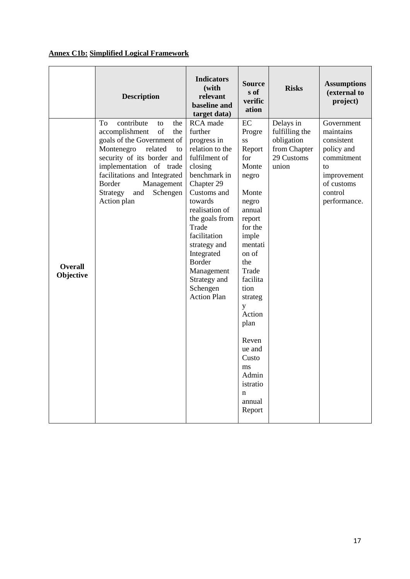# **Annex C1b: Simplified Logical Framework**

|                             | <b>Description</b>                                                                                                                                                                                                                                                                              | <b>Indicators</b><br>(with<br>relevant<br>baseline and<br>target data)                                                                                                                                                                                                                                                | <b>Source</b><br>s of<br>verific<br>ation                                                                                                                                                                                                                                                              | <b>Risks</b>                                                                     | <b>Assumptions</b><br>(external to<br>project)                                                                                  |
|-----------------------------|-------------------------------------------------------------------------------------------------------------------------------------------------------------------------------------------------------------------------------------------------------------------------------------------------|-----------------------------------------------------------------------------------------------------------------------------------------------------------------------------------------------------------------------------------------------------------------------------------------------------------------------|--------------------------------------------------------------------------------------------------------------------------------------------------------------------------------------------------------------------------------------------------------------------------------------------------------|----------------------------------------------------------------------------------|---------------------------------------------------------------------------------------------------------------------------------|
| <b>Overall</b><br>Objective | contribute<br>To<br>the<br>to<br>accomplishment<br>of<br>the<br>goals of the Government of<br>Montenegro<br>related<br>to<br>security of its border and<br>implementation of trade<br>facilitations and Integrated<br><b>Border</b><br>Management<br>and<br>Schengen<br>Strategy<br>Action plan | RCA made<br>further<br>progress in<br>relation to the<br>fulfilment of<br>closing<br>benchmark in<br>Chapter 29<br>Customs and<br>towards<br>realisation of<br>the goals from<br>Trade<br>facilitation<br>strategy and<br>Integrated<br><b>Border</b><br>Management<br>Strategy and<br>Schengen<br><b>Action Plan</b> | EC<br>Progre<br><b>SS</b><br>Report<br>for<br>Monte<br>negro<br>Monte<br>negro<br>annual<br>report<br>for the<br>imple<br>mentati<br>on of<br>the<br>Trade<br>facilita<br>tion<br>strateg<br>y<br>Action<br>plan<br>Reven<br>ue and<br>Custo<br>$\rm ms$<br>Admin<br>istratio<br>n<br>annual<br>Report | Delays in<br>fulfilling the<br>obligation<br>from Chapter<br>29 Customs<br>union | Government<br>maintains<br>consistent<br>policy and<br>commitment<br>to<br>improvement<br>of customs<br>control<br>performance. |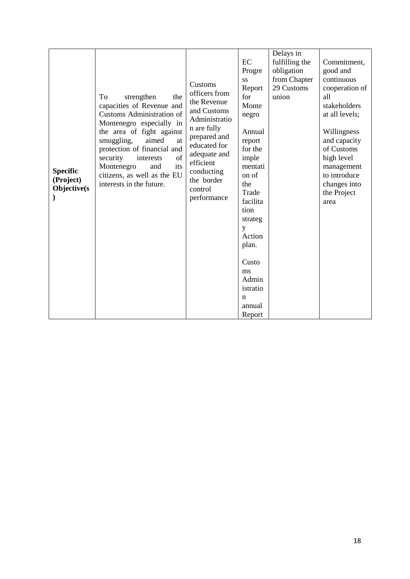|        | <b>Specific</b><br>(Project)<br>Objective(s | strengthen<br>To<br>the<br>capacities of Revenue and<br><b>Customs Administration of</b><br>Montenegro especially in<br>the area of fight against<br>aimed<br>smuggling,<br>at<br>protection of financial and<br>of<br>security<br>interests<br>its<br>Montenegro<br>and<br>citizens, as well as the EU<br>interests in the future. | Customs<br>officers from<br>the Revenue<br>and Customs<br>Administratio<br>n are fully<br>prepared and<br>educated for<br>adequate and<br>efficient<br>conducting<br>the border<br>control<br>performance | EC<br>Progre<br>SS<br>Report<br>for<br>Monte<br>negro<br>Annual<br>report<br>for the<br>imple<br>mentati<br>on of<br>the<br>Trade<br>facilita<br>tion<br>strateg<br>y<br>Action<br>plan.<br>Custo<br>ms<br>Admin<br>istratio<br>n | Delays in<br>fulfilling the<br>obligation<br>from Chapter<br>29 Customs<br>union | Commitment,<br>good and<br>continuous<br>cooperation of<br>all<br>stakeholders<br>at all levels;<br>Willingness<br>and capacity<br>of Customs<br>high level<br>management<br>to introduce<br>changes into<br>the Project<br>area |
|--------|---------------------------------------------|-------------------------------------------------------------------------------------------------------------------------------------------------------------------------------------------------------------------------------------------------------------------------------------------------------------------------------------|-----------------------------------------------------------------------------------------------------------------------------------------------------------------------------------------------------------|-----------------------------------------------------------------------------------------------------------------------------------------------------------------------------------------------------------------------------------|----------------------------------------------------------------------------------|----------------------------------------------------------------------------------------------------------------------------------------------------------------------------------------------------------------------------------|
| Report |                                             |                                                                                                                                                                                                                                                                                                                                     |                                                                                                                                                                                                           | annual                                                                                                                                                                                                                            |                                                                                  |                                                                                                                                                                                                                                  |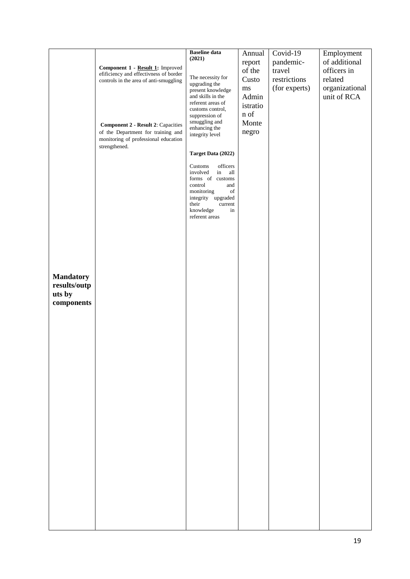|                                                          | Component 1 - Result 1: Improved<br>efificiency and effectivness of border<br>controls in the area of anti-smuggling<br><b>Component 2 - Result 2: Capacities</b><br>of the Department for training and<br>monitoring of professional education<br>strengthened. | <b>Baseline</b> data<br>(2021)<br>The necessity for<br>upgrading the<br>present knowledge<br>and skills in the<br>referent areas of<br>customs control,<br>suppression of<br>smuggling and<br>enhancing the<br>integrity level<br>Target Data (2022)<br>officers<br>Customs<br>involved<br>in<br>all<br>forms of customs<br>control<br>and<br>monitoring<br>of<br>integrity upgraded<br>their<br>current<br>knowledge<br>in<br>referent areas | Annual<br>report<br>of the<br>Custo<br>$\rm ms$<br>Admin<br>istratio<br>n of<br>Monte<br>negro | Covid-19<br>pandemic-<br>travel<br>restrictions<br>(for experts) | Employment<br>of additional<br>officers in<br>related<br>organizational<br>unit of RCA |
|----------------------------------------------------------|------------------------------------------------------------------------------------------------------------------------------------------------------------------------------------------------------------------------------------------------------------------|-----------------------------------------------------------------------------------------------------------------------------------------------------------------------------------------------------------------------------------------------------------------------------------------------------------------------------------------------------------------------------------------------------------------------------------------------|------------------------------------------------------------------------------------------------|------------------------------------------------------------------|----------------------------------------------------------------------------------------|
| <b>Mandatory</b><br>results/outp<br>uts by<br>components |                                                                                                                                                                                                                                                                  |                                                                                                                                                                                                                                                                                                                                                                                                                                               |                                                                                                |                                                                  |                                                                                        |
|                                                          |                                                                                                                                                                                                                                                                  |                                                                                                                                                                                                                                                                                                                                                                                                                                               |                                                                                                |                                                                  |                                                                                        |
|                                                          |                                                                                                                                                                                                                                                                  |                                                                                                                                                                                                                                                                                                                                                                                                                                               |                                                                                                |                                                                  |                                                                                        |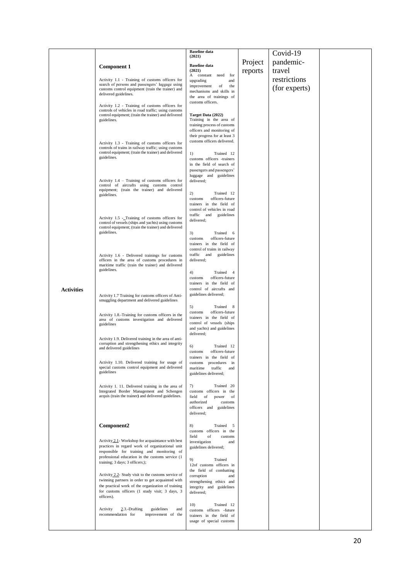|                   |                                                                                                                                                                                                                                           | <b>Baseline</b> data<br>(2021)                                                                                                                                     |         | Covid-19      |  |
|-------------------|-------------------------------------------------------------------------------------------------------------------------------------------------------------------------------------------------------------------------------------------|--------------------------------------------------------------------------------------------------------------------------------------------------------------------|---------|---------------|--|
|                   | <b>Component 1</b>                                                                                                                                                                                                                        | <b>Baseline</b> data                                                                                                                                               | Project | pandemic-     |  |
|                   |                                                                                                                                                                                                                                           | (2021)<br>A constant<br>for<br>need                                                                                                                                | reports | travel        |  |
|                   | Activity 1.1 - Training of customs officers for<br>search of persons and passengers' luggage using                                                                                                                                        | upgrading<br>and                                                                                                                                                   |         | restrictions  |  |
|                   | customs control equipment (train the trainer) and<br>delivered guidelines.                                                                                                                                                                | improvement<br>of<br>the<br>mechanisms and skills in                                                                                                               |         | (for experts) |  |
|                   |                                                                                                                                                                                                                                           | the area of trainings of<br>customs officers.                                                                                                                      |         |               |  |
|                   | Activity 1.2 - Training of customs officers for<br>controls of vehicles in road traffic; using customs<br>control equipment; (train the trainer) and delivered<br>guidelines.                                                             | Target Data (2022)<br>Training in the area of<br>training process of customs<br>officers and monitoring of<br>their progress for at least 3                        |         |               |  |
|                   | Activity 1.3 - Training of customs officers for<br>controls of trains in railway traffic; using customs<br>control equipment; (train the trainer) and delivered<br>guidelines.                                                            | customs officers delivered.<br>1)<br>Trained 12<br>customs officers -trainers<br>in the field of search of<br>passengers and passengers'<br>luggage and guidelines |         |               |  |
|                   | Activity 1.4 - Training of customs officers for<br>control of aircrafts using customs control<br>equipment; (train the trainer) and delivered<br>guidelines.                                                                              | delivered;<br>Trained 12<br>2)<br>officers-future<br>customs<br>trainers in the field of<br>control of vehicles in road                                            |         |               |  |
|                   | Activity 1.5 - Training of customs officers for<br>control of vessels (ships and yachts) using customs<br>control equipment; (train the trainer) and delivered<br>guidelines.                                                             | traffic and<br>guidelines<br>delivered;<br>3)<br>Trained 6<br>officers-future<br>customs                                                                           |         |               |  |
|                   | Activity 1.6 - Delivered trainings for customs<br>officers in the area of customs procedures in<br>maritime traffic (train the trainer) and delivered<br>guidelines.                                                                      | trainers in the field of<br>control of trains in railway<br>traffic and<br>guidelines<br>delivered;                                                                |         |               |  |
| <b>Activities</b> |                                                                                                                                                                                                                                           | Trained<br>4)<br>$\overline{4}$<br>officers-future<br>customs<br>trainers in the field of<br>control of aircrafts and                                              |         |               |  |
|                   | Activity 1.7 Training for customs officers of Anti-<br>smuggling department and delivered guidelines                                                                                                                                      | guidelines delivered;<br>Trained<br>- 8<br>5)                                                                                                                      |         |               |  |
|                   | Activity 1.8.-Training for customs officers in the<br>area of customs investigation and delivered<br>guidelines                                                                                                                           | officers-future<br>customs<br>trainers in the field of<br>control of vessels (ships<br>and yachts) and guidelines<br>delivered;                                    |         |               |  |
|                   | Activity 1.9. Delivered training in the area of anti-<br>corruption and strengthening ethics and integrity<br>and delivered guidelines<br>Activity 1.10. Delivered training for usage of                                                  | Trained 12<br>6)<br>officers-future<br>customs<br>trainers in the field<br>-01<br>customs procedures                                                               |         |               |  |
|                   | special customs control equipment and delivered<br>guidelines                                                                                                                                                                             | in<br>traffic<br>maritime<br>and<br>guidelines delivered;                                                                                                          |         |               |  |
|                   | Activity 1. 11. Delivered training in the area of<br>Integrated Border Management and Schengen<br>acquis (train the trainer) and delivered guidelines.                                                                                    | Trained 20<br>7)<br>customs officers in the<br>field<br>of<br>of<br>power<br>authorized<br>customs<br>officers and guidelines<br>delivered;                        |         |               |  |
|                   | Component2                                                                                                                                                                                                                                | Trained<br>8)<br>5<br>customs officers in the<br>of<br>field<br>customs                                                                                            |         |               |  |
|                   | Activity 2.1- Workshop for acquaintance with best<br>practices in regard work of organizational unit<br>responsible for training and monitoring of<br>professional education in the customs service (1<br>training; 3 days; 3 officers;); | investigation<br>and<br>guidelines delivered;<br>9)<br>Trained<br>12of customs officers in                                                                         |         |               |  |
|                   | Activity 2.2- Study visit to the customs service of<br>twinning partners in order to get acquainted with<br>the practical work of the organization of training<br>for customs officers (1 study visit; 3 days, 3<br>officers).            | the field of combatting<br>corruption<br>and<br>strengthening ethics and<br>integrity and guidelines<br>delivered;                                                 |         |               |  |
|                   | $2.3$ -Drafting<br>guidelines<br>Activity<br>and<br>recommendation for<br>improvement of the                                                                                                                                              | 10)<br>Trained 12<br>customs officers -future<br>trainers in the field of<br>usage of special customs                                                              |         |               |  |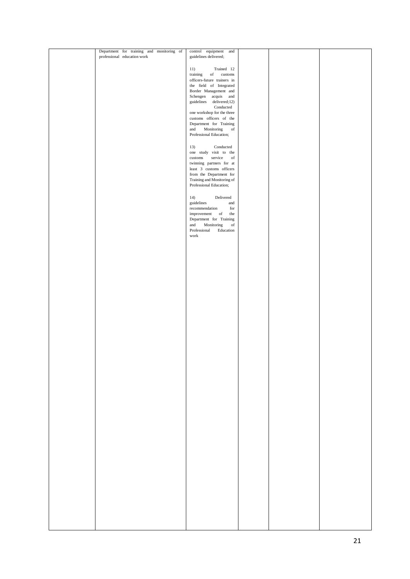| Department for training and monitoring of<br>professional education work | control equipment<br>and<br>guidelines delivered;      |  |  |
|--------------------------------------------------------------------------|--------------------------------------------------------|--|--|
|                                                                          |                                                        |  |  |
|                                                                          | 11)<br>Trained 12<br>training<br>customs<br>of         |  |  |
|                                                                          | officers-future trainers in                            |  |  |
|                                                                          | the field of Integrated                                |  |  |
|                                                                          | Border Management and<br>Schengen<br>acquis and        |  |  |
|                                                                          | delivered;12)<br>guidelines                            |  |  |
|                                                                          | Conducted<br>one workshop for the three                |  |  |
|                                                                          | customs officers of the                                |  |  |
|                                                                          | Department for Training                                |  |  |
|                                                                          | and<br>Monitoring<br>of<br>Professional Education;     |  |  |
|                                                                          |                                                        |  |  |
|                                                                          | 13)<br>Conducted                                       |  |  |
|                                                                          | one study visit to the<br>service<br>of<br>$\rm{cuts}$ |  |  |
|                                                                          | twinning partners for at                               |  |  |
|                                                                          | least 3 customs officers<br>from the Department for    |  |  |
|                                                                          | Training and Monitoring of                             |  |  |
|                                                                          | Professional Education;                                |  |  |
|                                                                          | 14)<br>Delivered                                       |  |  |
|                                                                          | guidelines<br>and                                      |  |  |
|                                                                          | recommendation<br>for<br>the<br>improvement<br>of      |  |  |
|                                                                          | Department for Training                                |  |  |
|                                                                          | and<br>Monitoring<br>$_{\mathrm{of}}$                  |  |  |
|                                                                          | Professional<br>Education<br>work                      |  |  |
|                                                                          |                                                        |  |  |
|                                                                          |                                                        |  |  |
|                                                                          |                                                        |  |  |
|                                                                          |                                                        |  |  |
|                                                                          |                                                        |  |  |
|                                                                          |                                                        |  |  |
|                                                                          |                                                        |  |  |
|                                                                          |                                                        |  |  |
|                                                                          |                                                        |  |  |
|                                                                          |                                                        |  |  |
|                                                                          |                                                        |  |  |
|                                                                          |                                                        |  |  |
|                                                                          |                                                        |  |  |
|                                                                          |                                                        |  |  |
|                                                                          |                                                        |  |  |
|                                                                          |                                                        |  |  |
|                                                                          |                                                        |  |  |
|                                                                          |                                                        |  |  |
|                                                                          |                                                        |  |  |
|                                                                          |                                                        |  |  |
|                                                                          |                                                        |  |  |
|                                                                          |                                                        |  |  |
|                                                                          |                                                        |  |  |
|                                                                          |                                                        |  |  |
|                                                                          |                                                        |  |  |
|                                                                          |                                                        |  |  |
|                                                                          |                                                        |  |  |
|                                                                          |                                                        |  |  |
|                                                                          |                                                        |  |  |
|                                                                          |                                                        |  |  |
|                                                                          |                                                        |  |  |
|                                                                          |                                                        |  |  |
|                                                                          |                                                        |  |  |
|                                                                          |                                                        |  |  |
|                                                                          |                                                        |  |  |
|                                                                          |                                                        |  |  |
|                                                                          |                                                        |  |  |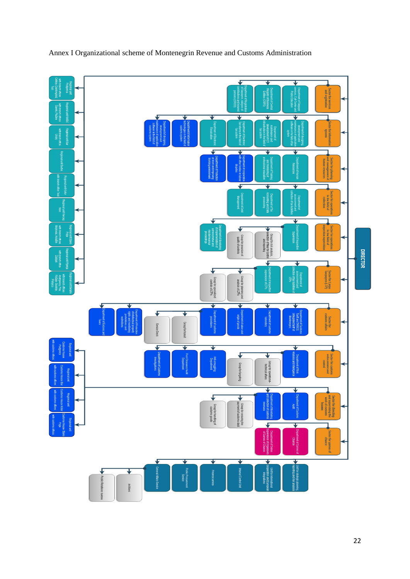

# Annex I Organizational scheme of Montenegrin Revenue and Customs Administration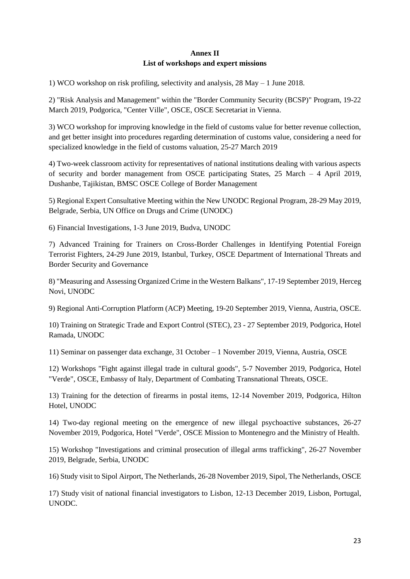# **Annex II List of workshops and expert missions**

1) WCO workshop on risk profiling, selectivity and analysis, 28 May – 1 June 2018.

2) "Risk Analysis and Management" within the "Border Community Security (BCSP)" Program, 19-22 March 2019, Podgorica, "Center Ville", OSCE, OSCE Secretariat in Vienna.

3) WCO workshop for improving knowledge in the field of customs value for better revenue collection, and get better insight into procedures regarding determination of customs value, considering a need for specialized knowledge in the field of customs valuation, 25-27 March 2019

4) Two-week classroom activity for representatives of national institutions dealing with various aspects of security and border management from OSCE participating States, 25 March – 4 April 2019, Dushanbe, Tajikistan, BMSC OSCE College of Border Management

5) Regional Expert Consultative Meeting within the New UNODC Regional Program, 28-29 May 2019, Belgrade, Serbia, UN Office on Drugs and Crime (UNODC)

6) Financial Investigations, 1-3 June 2019, Budva, UNODC

7) Advanced Training for Trainers on Cross-Border Challenges in Identifying Potential Foreign Terrorist Fighters, 24-29 June 2019, Istanbul, Turkey, OSCE Department of International Threats and Border Security and Governance

8) "Measuring and Assessing Organized Crime in the Western Balkans", 17-19 September 2019, Herceg Novi, UNODC

9) Regional Anti-Corruption Platform (ACP) Meeting, 19-20 September 2019, Vienna, Austria, OSCE.

10) Training on Strategic Trade and Export Control (STEC), 23 - 27 September 2019, Podgorica, Hotel Ramada, UNODC

11) Seminar on passenger data exchange, 31 October – 1 November 2019, Vienna, Austria, OSCE

12) Workshops "Fight against illegal trade in cultural goods", 5-7 November 2019, Podgorica, Hotel "Verde", OSCE, Embassy of Italy, Department of Combating Transnational Threats, OSCE.

13) Training for the detection of firearms in postal items, 12-14 November 2019, Podgorica, Hilton Hotel, UNODC

14) Two-day regional meeting on the emergence of new illegal psychoactive substances, 26-27 November 2019, Podgorica, Hotel "Verde", OSCE Mission to Montenegro and the Ministry of Health.

15) Workshop "Investigations and criminal prosecution of illegal arms trafficking", 26-27 November 2019, Belgrade, Serbia, UNODC

16) Study visit to Sipol Airport, The Netherlands, 26-28 November 2019, Sipol, The Netherlands, OSCE

17) Study visit of national financial investigators to Lisbon, 12-13 December 2019, Lisbon, Portugal, UNODC.